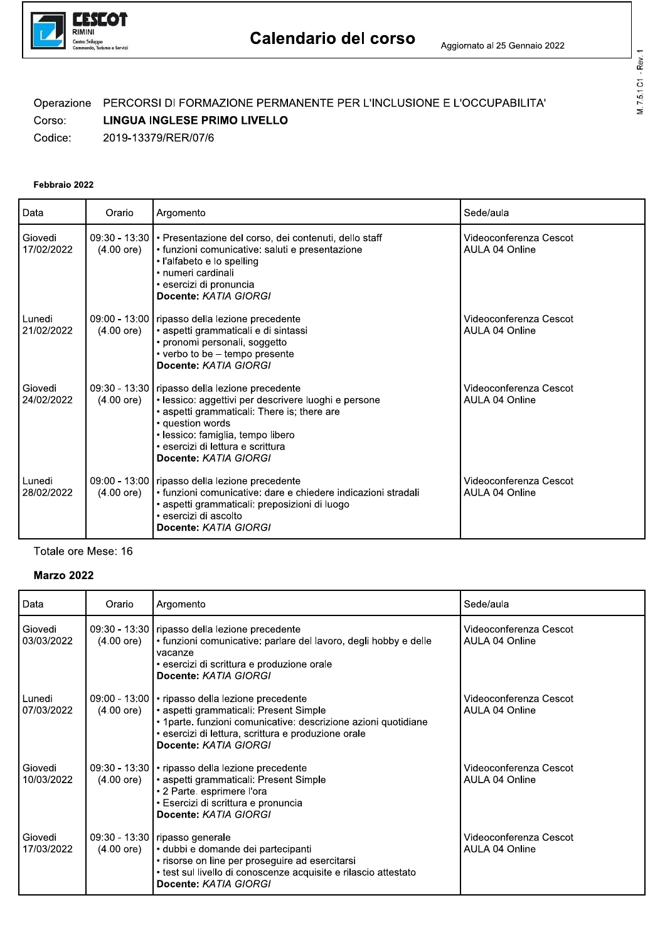

# Calendario del corso<br>
Aggiomato al 25 Gennaio 2022<br>
Operazione PERCORSI DI FORMAZIONE PERMANENTE PER L'INCLUSIONE E L'OCCUPABILITA'<br>
Corso: LINGUA INGLESE PRIMO LIVELLO<br>
Codice: 2019-13379/RER/07/6<br>
Pebbraio 2022<br>
Data Ora

| Data                  | Orario               | Argomento                                                                                                                                                                                                                                                                      | Sede/aula                                |
|-----------------------|----------------------|--------------------------------------------------------------------------------------------------------------------------------------------------------------------------------------------------------------------------------------------------------------------------------|------------------------------------------|
| Giovedi<br>17/02/2022 | $(4.00 \text{ ore})$ | 09:30 - 13:30   • Presentazione del corso, dei contenuti, dello staff<br>· funzioni comunicative: saluti e presentazione<br>· l'alfabeto e lo spelling<br>• numeri cardinali<br>· esercizi di pronuncia<br>Docente: KATIA GIORGI                                               | Videoconferenza Cescot<br>AULA 04 Online |
| Lunedi<br>21/02/2022  | $(4.00 \text{ ore})$ | 09:00 - 13:00   ripasso della lezione precedente<br>• aspetti grammaticali e di sintassi<br>• pronomi personali, soggetto<br>• verbo to be - tempo presente<br>Docente: KATIA GIORGI                                                                                           | Videoconferenza Cescot<br>AULA 04 Online |
| Giovedi<br>24/02/2022 | $(4.00 \text{ ore})$ | 09:30 - 13:30   ripasso della lezione precedente<br>· lessico: aggettivi per descrivere luoghi e persone<br>• aspetti grammaticali: There is; there are<br>· question words<br>· lessico: famiglia, tempo libero<br>• esercizi di lettura e scrittura<br>Docente: KATIA GIORGI | Videoconferenza Cescot<br>AULA 04 Online |
| Lunedi<br>28/02/2022  | $(4.00 \text{ ore})$ | 09:00 - 13:00   ripasso della lezione precedente<br>• funzioni comunicative: dare e chiedere indicazioni stradali<br>• aspetti grammaticali: preposizioni di luogo<br>· esercizi di ascolto<br>Docente: KATIA GIORGI                                                           | Videoconferenza Cescot<br>AULA 04 Online |

### Totale ore Mese: 16

# Marzo 2022

| Data                    | Orario               | Argomento                                                                                                                                                                                                                                       | Sede/aula                                |
|-------------------------|----------------------|-------------------------------------------------------------------------------------------------------------------------------------------------------------------------------------------------------------------------------------------------|------------------------------------------|
| Giovedi<br>  03/03/2022 | $(4.00 \text{ ore})$ | 09:30 - 13:30   ripasso della lezione precedente<br>• funzioni comunicative: parlare del lavoro, degli hobby e delle<br>vacanze<br>• esercizi di scrittura e produzione orale<br>Docente: KATIA GIORGI                                          | Videoconferenza Cescot<br>AULA 04 Online |
| l Lunedi<br>07/03/2022  | $(4.00 \text{ ore})$ | 09:00 - 13:00   • ripasso della lezione precedente<br>  aspetti grammaticali: Present Simple<br>• 1 parte. funzioni comunicative: descrizione azioni quotidiane<br>· esercizi di lettura, scrittura e produzione orale<br>Docente: KATIA GIORGI | Videoconferenza Cescot<br>AULA 04 Online |
| l Giovedi<br>10/03/2022 | $(4.00 \text{ ore})$ | 09:30 - 13:30   • ripasso della lezione precedente<br>  • aspetti grammaticali: Present Simple<br>• 2 Parte. esprimere l'ora<br>• Esercizi di scrittura e pronuncia<br>Docente: KATIA GIORGI                                                    | Videoconferenza Cescot<br>AULA 04 Online |
| l Giovedi<br>17/03/2022 | $(4.00 \text{ ore})$ | 09:30 - 13:30   ripasso generale<br>e dubbi e domande dei partecipanti<br>· risorse on line per proseguire ad esercitarsi<br>· test sul livello di conoscenze acquisite e rilascio attestato<br>Docente: KATIA GIORGI                           | Videoconferenza Cescot<br>AULA 04 Online |